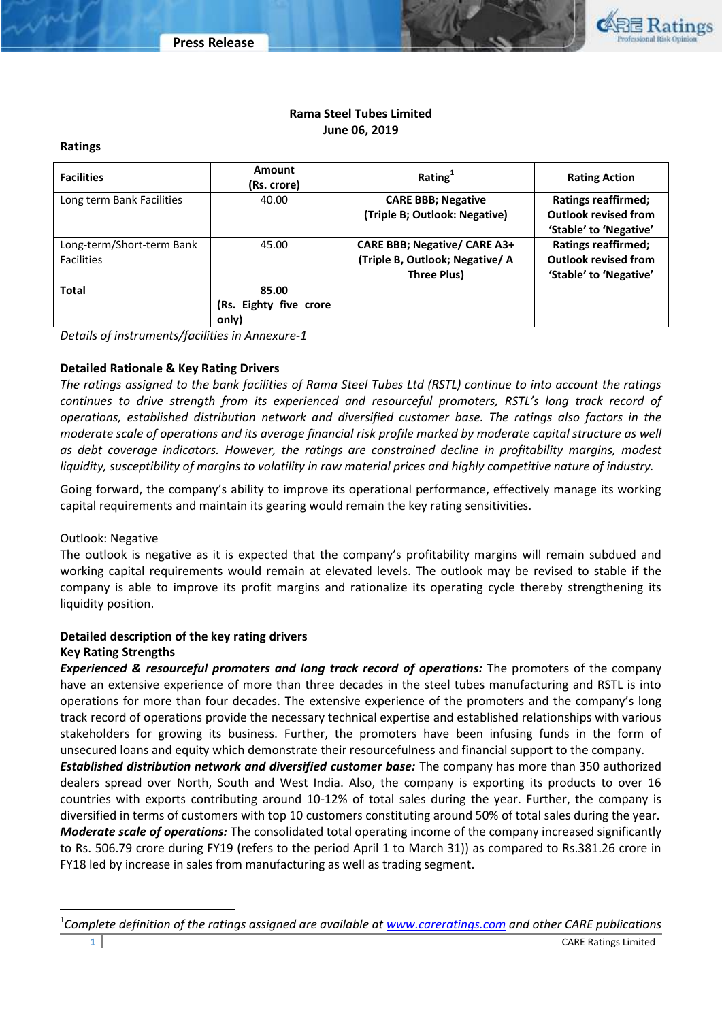

## **Rama Steel Tubes Limited June 06, 2019**

## **Ratings**

| <b>Facilities</b>         | Amount<br>(Rs. crore)  | Rating $1$                          | <b>Rating Action</b>        |
|---------------------------|------------------------|-------------------------------------|-----------------------------|
| Long term Bank Facilities | 40.00                  | <b>CARE BBB; Negative</b>           | <b>Ratings reaffirmed;</b>  |
|                           |                        | (Triple B; Outlook: Negative)       | <b>Outlook revised from</b> |
|                           |                        |                                     | 'Stable' to 'Negative'      |
| Long-term/Short-term Bank | 45.00                  | <b>CARE BBB; Negative/ CARE A3+</b> | <b>Ratings reaffirmed;</b>  |
| <b>Facilities</b>         |                        | (Triple B, Outlook; Negative/A      | <b>Outlook revised from</b> |
|                           |                        | Three Plus)                         | 'Stable' to 'Negative'      |
| <b>Total</b>              | 85.00                  |                                     |                             |
|                           | (Rs. Eighty five crore |                                     |                             |
|                           | only)                  |                                     |                             |

*Details of instruments/facilities in Annexure-1*

## **Detailed Rationale & Key Rating Drivers**

*The ratings assigned to the bank facilities of Rama Steel Tubes Ltd (RSTL) continue to into account the ratings continues to drive strength from its experienced and resourceful promoters, RSTL's long track record of operations, established distribution network and diversified customer base. The ratings also factors in the moderate scale of operations and its average financial risk profile marked by moderate capital structure as well as debt coverage indicators. However, the ratings are constrained decline in profitability margins, modest liquidity, susceptibility of margins to volatility in raw material prices and highly competitive nature of industry.*

Going forward, the company's ability to improve its operational performance, effectively manage its working capital requirements and maintain its gearing would remain the key rating sensitivities.

## Outlook: Negative

The outlook is negative as it is expected that the company's profitability margins will remain subdued and working capital requirements would remain at elevated levels. The outlook may be revised to stable if the company is able to improve its profit margins and rationalize its operating cycle thereby strengthening its liquidity position.

## **Detailed description of the key rating drivers Key Rating Strengths**

*Experienced & resourceful promoters and long track record of operations:* The promoters of the company have an extensive experience of more than three decades in the steel tubes manufacturing and RSTL is into operations for more than four decades. The extensive experience of the promoters and the company's long track record of operations provide the necessary technical expertise and established relationships with various stakeholders for growing its business. Further, the promoters have been infusing funds in the form of unsecured loans and equity which demonstrate their resourcefulness and financial support to the company.

*Established distribution network and diversified customer base:* The company has more than 350 authorized dealers spread over North, South and West India. Also, the company is exporting its products to over 16 countries with exports contributing around 10-12% of total sales during the year. Further, the company is diversified in terms of customers with top 10 customers constituting around 50% of total sales during the year. *Moderate scale of operations:* The consolidated total operating income of the company increased significantly to Rs. 506.79 crore during FY19 (refers to the period April 1 to March 31)) as compared to Rs.381.26 crore in FY18 led by increase in sales from manufacturing as well as trading segment.

 $\overline{a}$ 

<sup>1</sup> *Complete definition of the ratings assigned are available a[t www.careratings.com](http://www.careratings.com/) and other CARE publications*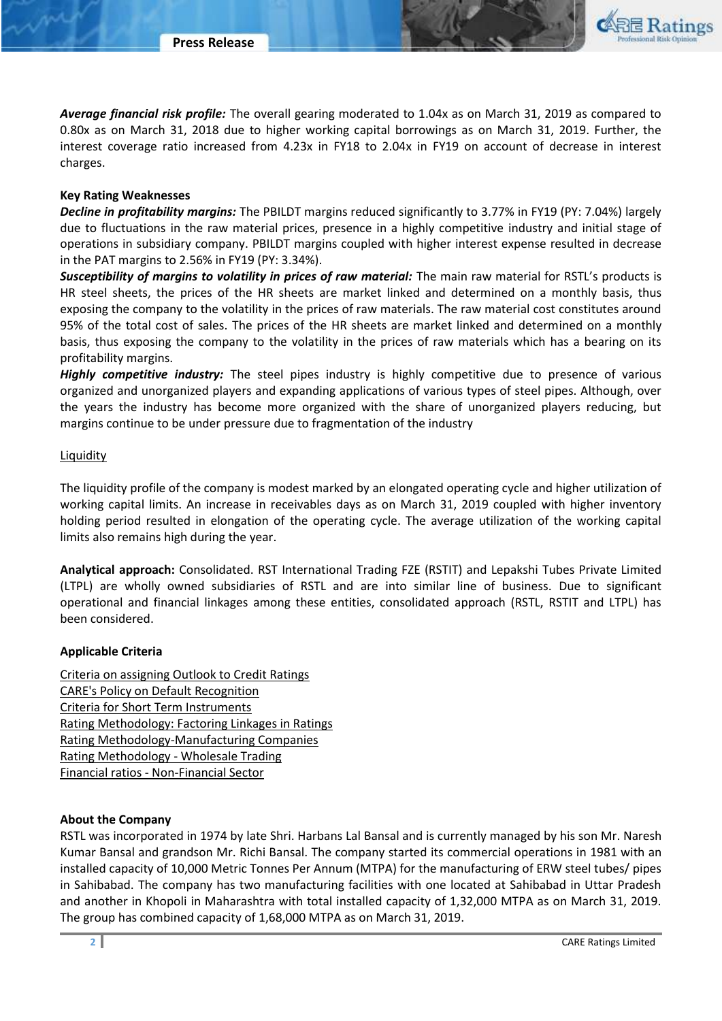

#### **Key Rating Weaknesses**

*Decline in profitability margins:* The PBILDT margins reduced significantly to 3.77% in FY19 (PY: 7.04%) largely due to fluctuations in the raw material prices, presence in a highly competitive industry and initial stage of operations in subsidiary company. PBILDT margins coupled with higher interest expense resulted in decrease in the PAT margins to 2.56% in FY19 (PY: 3.34%).

Susceptibility of margins to volatility in prices of raw material: The main raw material for RSTL's products is HR steel sheets, the prices of the HR sheets are market linked and determined on a monthly basis, thus exposing the company to the volatility in the prices of raw materials. The raw material cost constitutes around 95% of the total cost of sales. The prices of the HR sheets are market linked and determined on a monthly basis, thus exposing the company to the volatility in the prices of raw materials which has a bearing on its profitability margins.

*Highly competitive industry:* The steel pipes industry is highly competitive due to presence of various organized and unorganized players and expanding applications of various types of steel pipes. Although, over the years the industry has become more organized with the share of unorganized players reducing, but margins continue to be under pressure due to fragmentation of the industry

## **Liquidity**

The liquidity profile of the company is modest marked by an elongated operating cycle and higher utilization of working capital limits. An increase in receivables days as on March 31, 2019 coupled with higher inventory holding period resulted in elongation of the operating cycle. The average utilization of the working capital limits also remains high during the year.

**Analytical approach:** Consolidated. RST International Trading FZE (RSTIT) and Lepakshi Tubes Private Limited (LTPL) are wholly owned subsidiaries of RSTL and are into similar line of business. Due to significant operational and financial linkages among these entities, consolidated approach (RSTL, RSTIT and LTPL) has been considered.

## **Applicable Criteria**

[Criteria on assigning Outlook to Credit Ratings](http://www.careratings.com/upload/NewsFiles/GetRated/Outlook%20Criteria.pdf) [CARE's Policy on Default Recognition](http://www.careratings.com/pdf/resources/CAREPolicyonDefaultRecognition.pdf) [Criteria for Short Term Instruments](http://www.careratings.com/upload/NewsFiles/GetRated/Short%20Term%20Instruments.pdf) [Rating Methodology: Factoring Linkages in Ratings](http://www.careratings.com/upload/NewsFiles/GetRated/Rating%20Methodology%20-%20Factoring%20Linkages%20in%20Ratings.pdf) [Rating Methodology-Manufacturing Companies](http://www.careratings.com/upload/NewsFiles/GetRated/Manufacturing%20Companies.pdf) [Rating Methodology -](http://www.careratings.com/upload/NewsFiles/GetRated/Rating%20Methodology%20-%20Wholesale%20Trading.pdf) Wholesale Trading Financial ratios - [Non-Financial Sector](http://www.careratings.com/pdf/resources/FinancialratiosNonFinancialSector.pdf)

## **About the Company**

RSTL was incorporated in 1974 by late Shri. Harbans Lal Bansal and is currently managed by his son Mr. Naresh Kumar Bansal and grandson Mr. Richi Bansal. The company started its commercial operations in 1981 with an installed capacity of 10,000 Metric Tonnes Per Annum (MTPA) for the manufacturing of ERW steel tubes/ pipes in Sahibabad. The company has two manufacturing facilities with one located at Sahibabad in Uttar Pradesh and another in Khopoli in Maharashtra with total installed capacity of 1,32,000 MTPA as on March 31, 2019. The group has combined capacity of 1,68,000 MTPA as on March 31, 2019.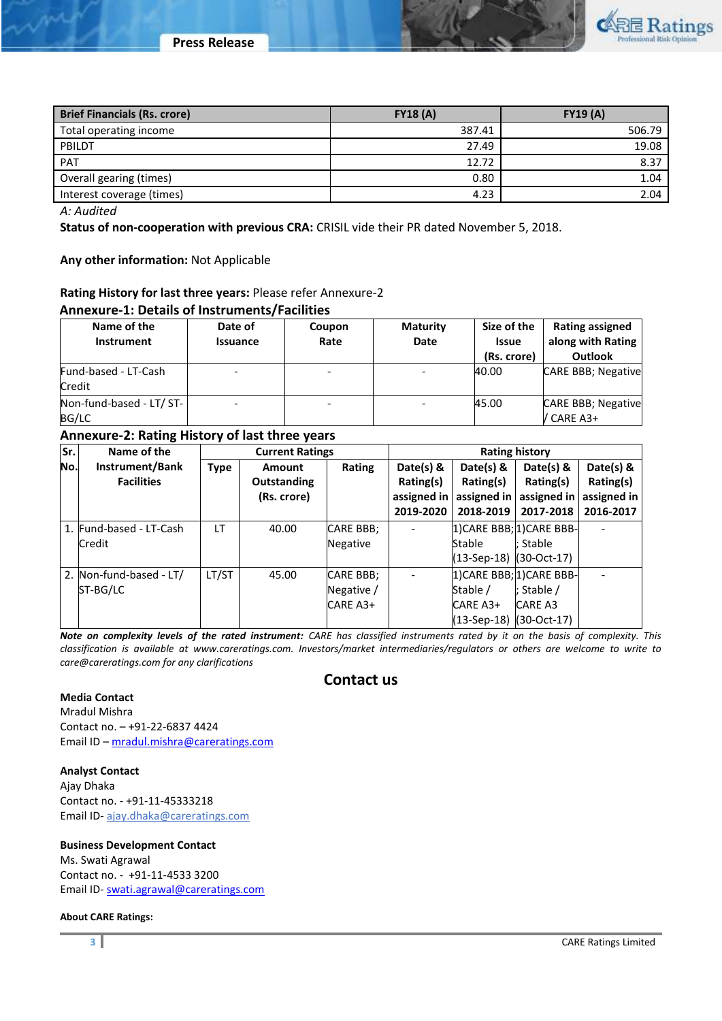

| <b>Brief Financials (Rs. crore)</b> | FY18(A) | <b>FY19 (A)</b> |
|-------------------------------------|---------|-----------------|
| Total operating income              | 387.41  | 506.79          |
| PBILDT                              | 27.49   | 19.08           |
| <b>PAT</b>                          | 12.72   | 8.37            |
| Overall gearing (times)             | 0.80    | 1.04            |
| Interest coverage (times)           | 4.23    | 2.04            |

*A: Audited*

**Status of non-cooperation with previous CRA:** CRISIL vide their PR dated November 5, 2018.

**Any other information:** Not Applicable

## **Rating History for last three years:** Please refer Annexure-2

#### **Annexure-1: Details of Instruments/Facilities**

| Name of the<br>Instrument             | Date of<br><b>Issuance</b> | Coupon<br>Rate           | <b>Maturity</b><br>Date | Size of the<br><b>Issue</b><br>(Rs. crore) | <b>Rating assigned</b><br>along with Rating<br><b>Outlook</b> |
|---------------------------------------|----------------------------|--------------------------|-------------------------|--------------------------------------------|---------------------------------------------------------------|
| Fund-based - LT-Cash<br><b>Credit</b> |                            |                          |                         | 40.00                                      | <b>CARE BBB</b> ; Negative                                    |
| Non-fund-based - LT/ ST-<br>BG/LC     |                            | $\overline{\phantom{0}}$ |                         | 45.00                                      | <b>CARE BBB</b> ; Negative<br>/ CARE A3+                      |

## **Annexure-2: Rating History of last three years**

| Sr. | Name of the             | <b>Current Ratings</b> |                    | <b>Rating history</b> |             |                             |                           |             |
|-----|-------------------------|------------------------|--------------------|-----------------------|-------------|-----------------------------|---------------------------|-------------|
| No. | Instrument/Bank         | <b>Type</b>            | Amount             | Rating                | Date(s) $8$ | Date(s) $8$                 | Date(s) $8$               | Date(s) &   |
|     | <b>Facilities</b>       |                        | <b>Outstanding</b> |                       | Rating(s)   | Rating(s)                   | Rating(s)                 | Rating(s)   |
|     |                         |                        | (Rs. crore)        |                       | assigned in | assigned in                 | assigned in               | assigned in |
|     |                         |                        |                    |                       | 2019-2020   | 2018-2019                   | 2017-2018                 | 2016-2017   |
|     | 1. Fund-based - LT-Cash | LT                     | 40.00              | <b>CARE BBB;</b>      |             |                             | 1) CARE BBB; 1) CARE BBB- |             |
|     | Credit                  |                        |                    | Negative              |             | Stable                      | : Stable                  |             |
|     |                         |                        |                    |                       |             | (13-Sep-18) (30-Oct-17)     |                           |             |
|     | 2. Non-fund-based - LT/ | LT/ST                  | 45.00              | <b>CARE BBB:</b>      |             |                             | 1) CARE BBB; 1) CARE BBB- |             |
|     | ST-BG/LC                |                        |                    | Negative /            |             | Stable /                    | ; Stable $/$              |             |
|     |                         |                        |                    | CARE A3+              |             | CARE A3+                    | <b>CARE A3</b>            |             |
|     |                         |                        |                    |                       |             | $(13-Sep-18)$ $(30-Oct-17)$ |                           |             |

*Note on complexity levels of the rated instrument: CARE has classified instruments rated by it on the basis of complexity. This classification is available at www.careratings.com. Investors/market intermediaries/regulators or others are welcome to write to care@careratings.com for any clarifications*

# **Contact us**

## **Media Contact**

Mradul Mishra Contact no. – +91-22-6837 4424 Email ID – [mradul.mishra@careratings.com](mailto:mradul.mishra@careratings.com)

#### **Analyst Contact**

Ajay Dhaka Contact no. - +91-11-45333218 Email ID- [ajay.dhaka@careratings.com](mailto:ajay.dhaka@careratings.com) 

## **Business Development Contact**

Ms. Swati Agrawal Contact no. - +91-11-4533 3200 Email ID- [swati.agrawal@careratings.com](mailto:swati.agrawal@careratings.com)

#### **About CARE Ratings:**